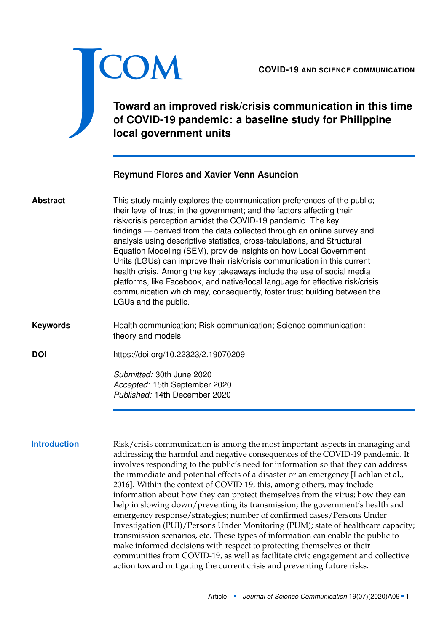

# **Toward an improved risk/crisis communication in this time of COVID-19 pandemic: a baseline study for Philippine local government units**

# **Reymund Flores and Xavier Venn Asuncion**

This study mainly explores the communication preferences of the public; their level of trust in the government; and the factors affecting their risk/crisis perception amidst the COVID-19 pandemic. The key findings — derived from the data collected through an online survey and analysis using descriptive statistics, cross-tabulations, and Structural Equation Modeling (SEM), provide insights on how Local Government Units (LGUs) can improve their risk/crisis communication in this current health crisis. Among the key takeaways include the use of social media platforms, like Facebook, and native/local language for effective risk/crisis communication which may, consequently, foster trust building between the LGUs and the public. **Abstract**

Health communication; Risk communication; Science communication: theory and models **Keywords**

**DOI** <https://doi.org/10.22323/2.19070209>

*Submitted:* 30th June 2020 *Accepted:* 15th September 2020 *Published:* 14th December 2020

**Introduction** Risk/crisis communication is among the most important aspects in managing and addressing the harmful and negative consequences of the COVID-19 pandemic. It involves responding to the public's need for information so that they can address the immediate and potential effects of a disaster or an emergency [Lachlan et al., [2016\]](#page-14-0). Within the context of COVID-19, this, among others, may include information about how they can protect themselves from the virus; how they can help in slowing down/preventing its transmission; the government's health and emergency response/strategies; number of confirmed cases/Persons Under Investigation (PUI)/Persons Under Monitoring (PUM); state of healthcare capacity; transmission scenarios, etc. These types of information can enable the public to make informed decisions with respect to protecting themselves or their communities from COVID-19, as well as facilitate civic engagement and collective action toward mitigating the current crisis and preventing future risks.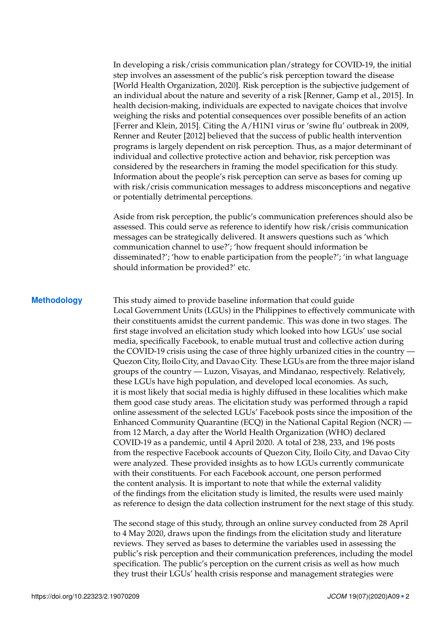In developing a risk/crisis communication plan/strategy for COVID-19, the initial step involves an assessment of the public's risk perception toward the disease [World Health Organization, [2020\]](#page-15-0). Risk perception is the subjective judgement of an individual about the nature and severity of a risk [Renner, Gamp et al., [2015\]](#page-14-1). In health decision-making, individuals are expected to navigate choices that involve weighing the risks and potential consequences over possible benefits of an action [Ferrer and Klein, [2015\]](#page-13-0). Citing the A/H1N1 virus or 'swine flu' outbreak in 2009, Renner and Reuter [\[2012\]](#page-14-2) believed that the success of public health intervention programs is largely dependent on risk perception. Thus, as a major determinant of individual and collective protective action and behavior, risk perception was considered by the researchers in framing the model specification for this study. Information about the people's risk perception can serve as bases for coming up with risk/crisis communication messages to address misconceptions and negative or potentially detrimental perceptions.

Aside from risk perception, the public's communication preferences should also be assessed. This could serve as reference to identify how risk/crisis communication messages can be strategically delivered. It answers questions such as 'which communication channel to use?'; 'how frequent should information be disseminated?'; 'how to enable participation from the people?'; 'in what language should information be provided?' etc.

**Methodology** This study aimed to provide baseline information that could guide Local Government Units (LGUs) in the Philippines to effectively communicate with their constituents amidst the current pandemic. This was done in two stages. The first stage involved an elicitation study which looked into how LGUs' use social media, specifically Facebook, to enable mutual trust and collective action during the COVID-19 crisis using the case of three highly urbanized cities in the country — Quezon City, Iloilo City, and Davao City. These LGUs are from the three major island groups of the country — Luzon, Visayas, and Mindanao, respectively. Relatively, these LGUs have high population, and developed local economies. As such, it is most likely that social media is highly diffused in these localities which make them good case study areas. The elicitation study was performed through a rapid online assessment of the selected LGUs' Facebook posts since the imposition of the Enhanced Community Quarantine (ECQ) in the National Capital Region (NCR) from 12 March, a day after the World Health Organization (WHO) declared COVID-19 as a pandemic, until 4 April 2020. A total of 238, 233, and 196 posts from the respective Facebook accounts of Quezon City, Iloilo City, and Davao City were analyzed. These provided insights as to how LGUs currently communicate with their constituents. For each Facebook account, one person performed the content analysis. It is important to note that while the external validity of the findings from the elicitation study is limited, the results were used mainly as reference to design the data collection instrument for the next stage of this study.

> The second stage of this study, through an online survey conducted from 28 April to 4 May 2020, draws upon the findings from the elicitation study and literature reviews. They served as bases to determine the variables used in assessing the public's risk perception and their communication preferences, including the model specification. The public's perception on the current crisis as well as how much they trust their LGUs' health crisis response and management strategies were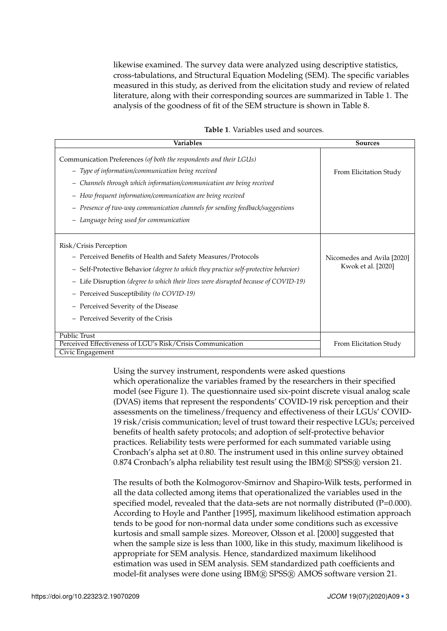likewise examined. The survey data were analyzed using descriptive statistics, cross-tabulations, and Structural Equation Modeling (SEM). The specific variables measured in this study, as derived from the elicitation study and review of related literature, along with their corresponding sources are summarized in Table [1.](#page-2-0) The analysis of the goodness of fit of the SEM structure is shown in Table [8.](#page-11-0)

| Variables                                                                           | <b>Sources</b>             |
|-------------------------------------------------------------------------------------|----------------------------|
| Communication Preferences (of both the respondents and their LGUs)                  |                            |
| - Type of information/communication being received                                  | From Elicitation Study     |
| - Channels through which information/communication are being received               |                            |
| - How frequent information/communication are being received                         |                            |
| - Presence of two-way communication channels for sending feedback/suggestions       |                            |
| - Language being used for communication                                             |                            |
| Risk/Crisis Perception                                                              |                            |
| - Perceived Benefits of Health and Safety Measures/Protocols                        | Nicomedes and Avila [2020] |
| - Self-Protective Behavior (degree to which they practice self-protective behavior) | Kwok et al. [2020]         |
| - Life Disruption (degree to which their lives were disrupted because of COVID-19)  |                            |
| - Perceived Susceptibility (to COVID-19)                                            |                            |
| - Perceived Severity of the Disease                                                 |                            |
| - Perceived Severity of the Crisis                                                  |                            |
| Public Trust<br>Perceived Effectiveness of LGU's Risk/Crisis Communication          | From Elicitation Study     |
| Civic Engagement                                                                    |                            |

#### <span id="page-2-0"></span>**Table 1**. Variables used and sources.

Using the survey instrument, respondents were asked questions which operationalize the variables framed by the researchers in their specified model (see Figure [1\)](#page-3-0). The questionnaire used six-point discrete visual analog scale (DVAS) items that represent the respondents' COVID-19 risk perception and their assessments on the timeliness/frequency and effectiveness of their LGUs' COVID-19 risk/crisis communication; level of trust toward their respective LGUs; perceived benefits of health safety protocols; and adoption of self-protective behavior practices. Reliability tests were performed for each summated variable using Cronbach's alpha set at 0.80. The instrument used in this online survey obtained 0.874 Cronbach's alpha reliability test result using the IBM® SPSS® version 21.

The results of both the Kolmogorov-Smirnov and Shapiro-Wilk tests, performed in all the data collected among items that operationalized the variables used in the specified model, revealed that the data-sets are not normally distributed (P=0.000). According to Hoyle and Panther [\[1995\]](#page-13-2), maximum likelihood estimation approach tends to be good for non-normal data under some conditions such as excessive kurtosis and small sample sizes. Moreover, Olsson et al. [\[2000\]](#page-14-4) suggested that when the sample size is less than 1000, like in this study, maximum likelihood is appropriate for SEM analysis. Hence, standardized maximum likelihood estimation was used in SEM analysis. SEM standardized path coefficients and model-fit analyses were done using IBM <sup>R</sup> SPSS <sup>R</sup> AMOS software version 21.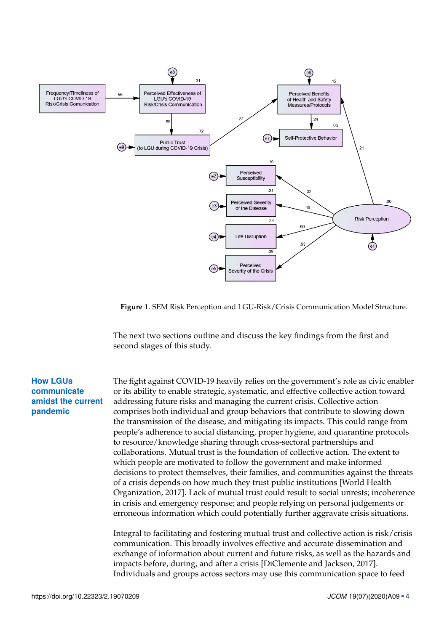

<span id="page-3-0"></span>**Figure 1**. SEM Risk Perception and LGU-Risk/Crisis Communication Model Structure.

The next two sections outline and discuss the key findings from the first and second stages of this study.

# **How LGUs communicate amidst the current pandemic**

The fight against COVID-19 heavily relies on the government's role as civic enabler or its ability to enable strategic, systematic, and effective collective action toward addressing future risks and managing the current crisis. Collective action comprises both individual and group behaviors that contribute to slowing down the transmission of the disease, and mitigating its impacts. This could range from people's adherence to social distancing, proper hygiene, and quarantine protocols to resource/knowledge sharing through cross-sectoral partnerships and collaborations. Mutual trust is the foundation of collective action. The extent to which people are motivated to follow the government and make informed decisions to protect themselves, their families, and communities against the threats of a crisis depends on how much they trust public institutions [World Health Organization, [2017\]](#page-15-1). Lack of mutual trust could result to social unrests; incoherence in crisis and emergency response; and people relying on personal judgements or erroneous information which could potentially further aggravate crisis situations.

Integral to facilitating and fostering mutual trust and collective action is risk/crisis communication. This broadly involves effective and accurate dissemination and exchange of information about current and future risks, as well as the hazards and impacts before, during, and after a crisis [DiClemente and Jackson, [2017\]](#page-13-3). Individuals and groups across sectors may use this communication space to feed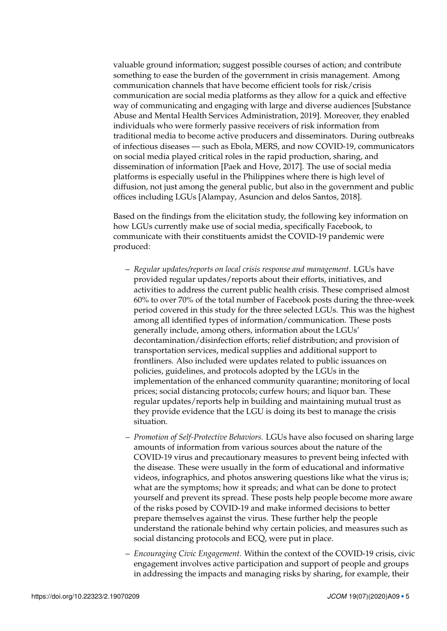valuable ground information; suggest possible courses of action; and contribute something to ease the burden of the government in crisis management. Among communication channels that have become efficient tools for risk/crisis communication are social media platforms as they allow for a quick and effective way of communicating and engaging with large and diverse audiences [Substance Abuse and Mental Health Services Administration, [2019\]](#page-14-5). Moreover, they enabled individuals who were formerly passive receivers of risk information from traditional media to become active producers and disseminators. During outbreaks of infectious diseases — such as Ebola, MERS, and now COVID-19, communicators on social media played critical roles in the rapid production, sharing, and dissemination of information [Paek and Hove, [2017\]](#page-14-6). The use of social media platforms is especially useful in the Philippines where there is high level of diffusion, not just among the general public, but also in the government and public offices including LGUs [Alampay, Asuncion and delos Santos, [2018\]](#page-13-4).

Based on the findings from the elicitation study, the following key information on how LGUs currently make use of social media, specifically Facebook, to communicate with their constituents amidst the COVID-19 pandemic were produced:

- *Regular updates/reports on local crisis response and management*. LGUs have provided regular updates/reports about their efforts, initiatives, and activities to address the current public health crisis. These comprised almost 60% to over 70% of the total number of Facebook posts during the three-week period covered in this study for the three selected LGUs. This was the highest among all identified types of information/communication. These posts generally include, among others, information about the LGUs' decontamination/disinfection efforts; relief distribution; and provision of transportation services, medical supplies and additional support to frontliners. Also included were updates related to public issuances on policies, guidelines, and protocols adopted by the LGUs in the implementation of the enhanced community quarantine; monitoring of local prices; social distancing protocols; curfew hours; and liquor ban. These regular updates/reports help in building and maintaining mutual trust as they provide evidence that the LGU is doing its best to manage the crisis situation.
- *Promotion of Self-Protective Behaviors.* LGUs have also focused on sharing large amounts of information from various sources about the nature of the COVID-19 virus and precautionary measures to prevent being infected with the disease. These were usually in the form of educational and informative videos, infographics, and photos answering questions like what the virus is; what are the symptoms; how it spreads; and what can be done to protect yourself and prevent its spread. These posts help people become more aware of the risks posed by COVID-19 and make informed decisions to better prepare themselves against the virus. These further help the people understand the rationale behind why certain policies, and measures such as social distancing protocols and ECQ, were put in place.
- *Encouraging Civic Engagement.* Within the context of the COVID-19 crisis, civic engagement involves active participation and support of people and groups in addressing the impacts and managing risks by sharing, for example, their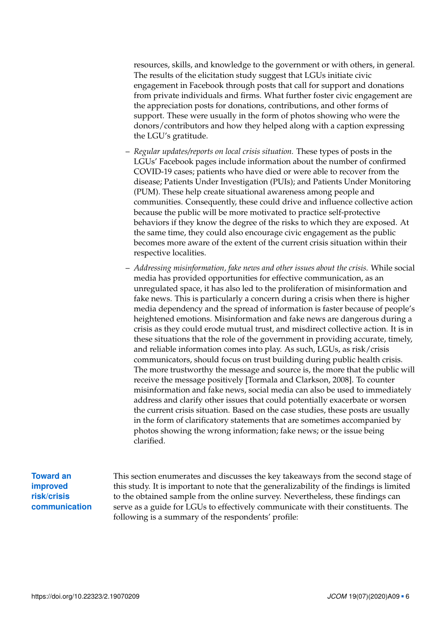resources, skills, and knowledge to the government or with others, in general. The results of the elicitation study suggest that LGUs initiate civic engagement in Facebook through posts that call for support and donations from private individuals and firms. What further foster civic engagement are the appreciation posts for donations, contributions, and other forms of support. These were usually in the form of photos showing who were the donors/contributors and how they helped along with a caption expressing the LGU's gratitude.

- *Regular updates/reports on local crisis situation.* These types of posts in the LGUs' Facebook pages include information about the number of confirmed COVID-19 cases; patients who have died or were able to recover from the disease; Patients Under Investigation (PUIs); and Patients Under Monitoring (PUM). These help create situational awareness among people and communities. Consequently, these could drive and influence collective action because the public will be more motivated to practice self-protective behaviors if they know the degree of the risks to which they are exposed. At the same time, they could also encourage civic engagement as the public becomes more aware of the extent of the current crisis situation within their respective localities.
- *Addressing misinformation, fake news and other issues about the crisis.* While social media has provided opportunities for effective communication, as an unregulated space, it has also led to the proliferation of misinformation and fake news. This is particularly a concern during a crisis when there is higher media dependency and the spread of information is faster because of people's heightened emotions. Misinformation and fake news are dangerous during a crisis as they could erode mutual trust, and misdirect collective action. It is in these situations that the role of the government in providing accurate, timely, and reliable information comes into play. As such, LGUs, as risk/crisis communicators, should focus on trust building during public health crisis. The more trustworthy the message and source is, the more that the public will receive the message positively [Tormala and Clarkson, [2008\]](#page-14-7). To counter misinformation and fake news, social media can also be used to immediately address and clarify other issues that could potentially exacerbate or worsen the current crisis situation. Based on the case studies, these posts are usually in the form of clarificatory statements that are sometimes accompanied by photos showing the wrong information; fake news; or the issue being clarified.

# **Toward an improved risk/crisis communication**

This section enumerates and discusses the key takeaways from the second stage of this study. It is important to note that the generalizability of the findings is limited to the obtained sample from the online survey. Nevertheless, these findings can serve as a guide for LGUs to effectively communicate with their constituents. The following is a summary of the respondents' profile: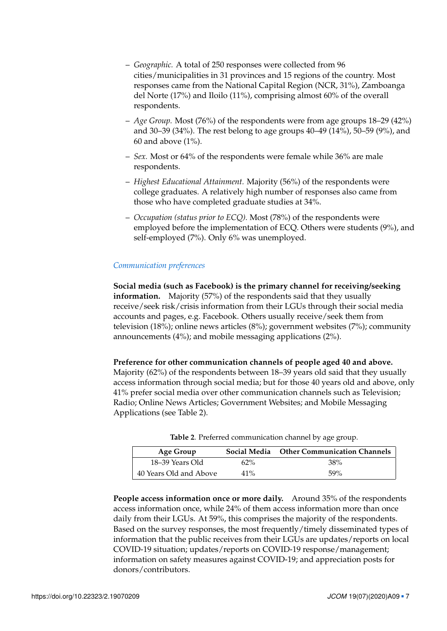- *Geographic.* A total of 250 responses were collected from 96 cities/municipalities in 31 provinces and 15 regions of the country. Most responses came from the National Capital Region (NCR, 31%), Zamboanga del Norte (17%) and Iloilo (11%), comprising almost 60% of the overall respondents.
- *Age Group.* Most (76%) of the respondents were from age groups 18–29 (42%) and 30–39 (34%). The rest belong to age groups 40–49 (14%), 50–59 (9%), and 60 and above (1%).
- *Sex.* Most or 64% of the respondents were female while 36% are male respondents.
- *Highest Educational Attainment.* Majority (56%) of the respondents were college graduates. A relatively high number of responses also came from those who have completed graduate studies at 34%.
- *Occupation (status prior to ECQ).* Most (78%) of the respondents were employed before the implementation of ECQ. Others were students (9%), and self-employed (7%). Only 6% was unemployed.

## *Communication preferences*

**Social media (such as Facebook) is the primary channel for receiving/seeking information.** Majority (57%) of the respondents said that they usually receive/seek risk/crisis information from their LGUs through their social media accounts and pages, e.g. Facebook. Others usually receive/seek them from television (18%); online news articles (8%); government websites (7%); community announcements (4%); and mobile messaging applications (2%).

**Preference for other communication channels of people aged 40 and above.**

Majority (62%) of the respondents between 18–39 years old said that they usually access information through social media; but for those 40 years old and above, only 41% prefer social media over other communication channels such as Television; Radio; Online News Articles; Government Websites; and Mobile Messaging Applications (see Table [2\)](#page-6-0).

| Age Group              |        | Social Media Other Communication Channels |
|------------------------|--------|-------------------------------------------|
| 18–39 Years Old        | $62\%$ | 38%                                       |
| 40 Years Old and Above | 41%    | 59%                                       |

<span id="page-6-0"></span>**Table 2**. Preferred communication channel by age group.

**People access information once or more daily.** Around 35% of the respondents access information once, while 24% of them access information more than once daily from their LGUs. At 59%, this comprises the majority of the respondents. Based on the survey responses, the most frequently/timely disseminated types of information that the public receives from their LGUs are updates/reports on local COVID-19 situation; updates/reports on COVID-19 response/management; information on safety measures against COVID-19; and appreciation posts for donors/contributors.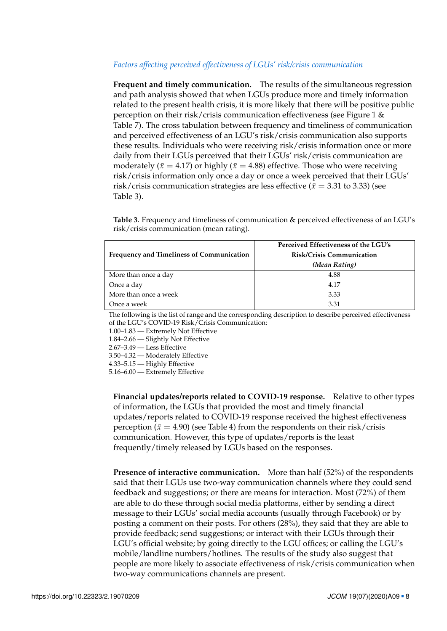## *Factors affecting perceived effectiveness of LGUs' risk/crisis communication*

**Frequent and timely communication.** The results of the simultaneous regression and path analysis showed that when LGUs produce more and timely information related to the present health crisis, it is more likely that there will be positive public perception on their risk/crisis communication effectiveness (see Figure [1](#page-3-0) & Table [7\)](#page-10-0). The cross tabulation between frequency and timeliness of communication and perceived effectiveness of an LGU's risk/crisis communication also supports these results. Individuals who were receiving risk/crisis information once or more daily from their LGUs perceived that their LGUs' risk/crisis communication are moderately ( $\bar{x} = 4.17$ ) or highly ( $\bar{x} = 4.88$ ) effective. Those who were receiving risk/crisis information only once a day or once a week perceived that their LGUs' risk/crisis communication strategies are less effective ( $\bar{x}$  = 3.31 to 3.33) (see Table [3\)](#page-7-0).

<span id="page-7-0"></span>**Table 3**. Frequency and timeliness of communication & perceived effectiveness of an LGU's risk/crisis communication (mean rating).

|                                                  | Perceived Effectiveness of the LGU's |
|--------------------------------------------------|--------------------------------------|
| <b>Frequency and Timeliness of Communication</b> | <b>Risk/Crisis Communication</b>     |
|                                                  | (Mean Rating)                        |
| More than once a day                             | 4.88                                 |
| Once a day                                       | 4.17                                 |
| More than once a week                            | 3.33                                 |
| Once a week                                      | 3.31                                 |

The following is the list of range and the corresponding description to describe perceived effectiveness of the LGU's COVID-19 Risk/Crisis Communication:

1.00–1.83 — Extremely Not Effective

1.84–2.66 — Slightly Not Effective

2.67–3.49 — Less Effective

3.50–4.32 — Moderately Effective

4.33–5.15 — Highly Effective

5.16–6.00 — Extremely Effective

**Financial updates/reports related to COVID-19 response.** Relative to other types of information, the LGUs that provided the most and timely financial updates/reports related to COVID-19 response received the highest effectiveness perception ( $\bar{x}$  = 4.90) (see Table [4\)](#page-8-0) from the respondents on their risk/crisis communication. However, this type of updates/reports is the least frequently/timely released by LGUs based on the responses.

**Presence of interactive communication.** More than half (52%) of the respondents said that their LGUs use two-way communication channels where they could send feedback and suggestions; or there are means for interaction. Most (72%) of them are able to do these through social media platforms, either by sending a direct message to their LGUs' social media accounts (usually through Facebook) or by posting a comment on their posts. For others (28%), they said that they are able to provide feedback; send suggestions; or interact with their LGUs through their LGU's official website; by going directly to the LGU offices; or calling the LGU's mobile/landline numbers/hotlines. The results of the study also suggest that people are more likely to associate effectiveness of risk/crisis communication when two-way communications channels are present.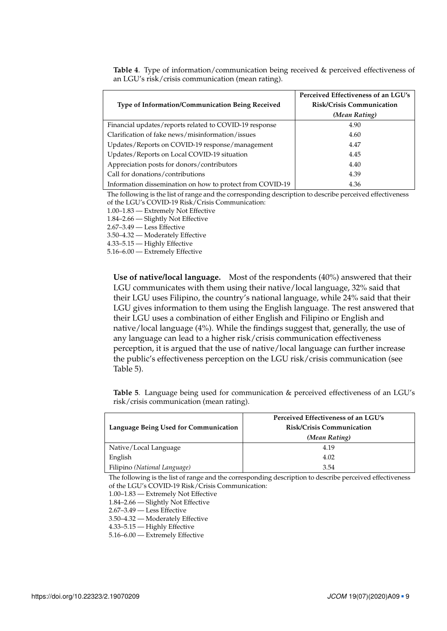| <b>Type of Information/Communication Being Received</b>   | Perceived Effectiveness of an LGU's<br><b>Risk/Crisis Communication</b> |
|-----------------------------------------------------------|-------------------------------------------------------------------------|
|                                                           | (Mean Rating)                                                           |
| Financial updates/reports related to COVID-19 response    | 4.90                                                                    |
| Clarification of fake news/misinformation/issues          | 4.60                                                                    |
| Updates/Reports on COVID-19 response/management           | 4.47                                                                    |
| Updates/Reports on Local COVID-19 situation               | 4.45                                                                    |
| Appreciation posts for donors/contributors                | 4.40                                                                    |
| Call for donations/contributions                          | 4.39                                                                    |
| Information dissemination on how to protect from COVID-19 | 4.36                                                                    |

<span id="page-8-0"></span>**Table 4**. Type of information/communication being received & perceived effectiveness of an LGU's risk/crisis communication (mean rating).

The following is the list of range and the corresponding description to describe perceived effectiveness of the LGU's COVID-19 Risk/Crisis Communication:

1.00–1.83 — Extremely Not Effective

1.84–2.66 — Slightly Not Effective

2.67–3.49 — Less Effective

3.50–4.32 — Moderately Effective

4.33–5.15 — Highly Effective

5.16–6.00 — Extremely Effective

**Use of native/local language.** Most of the respondents (40%) answered that their LGU communicates with them using their native/local language, 32% said that their LGU uses Filipino, the country's national language, while 24% said that their LGU gives information to them using the English language. The rest answered that their LGU uses a combination of either English and Filipino or English and native/local language (4%). While the findings suggest that, generally, the use of any language can lead to a higher risk/crisis communication effectiveness perception, it is argued that the use of native/local language can further increase the public's effectiveness perception on the LGU risk/crisis communication (see Table [5\)](#page-8-1).

<span id="page-8-1"></span>**Table 5**. Language being used for communication & perceived effectiveness of an LGU's risk/crisis communication (mean rating).

|                                       | Perceived Effectiveness of an LGU's |
|---------------------------------------|-------------------------------------|
| Language Being Used for Communication | <b>Risk/Crisis Communication</b>    |
|                                       | (Mean Rating)                       |
| Native/Local Language                 | 4.19                                |
| English                               | 4.02                                |
| Filipino (National Language)          | 3.54                                |

The following is the list of range and the corresponding description to describe perceived effectiveness of the LGU's COVID-19 Risk/Crisis Communication:

1.00–1.83 — Extremely Not Effective

1.84–2.66 — Slightly Not Effective

2.67–3.49 — Less Effective

3.50–4.32 — Moderately Effective

4.33–5.15 — Highly Effective

5.16–6.00 — Extremely Effective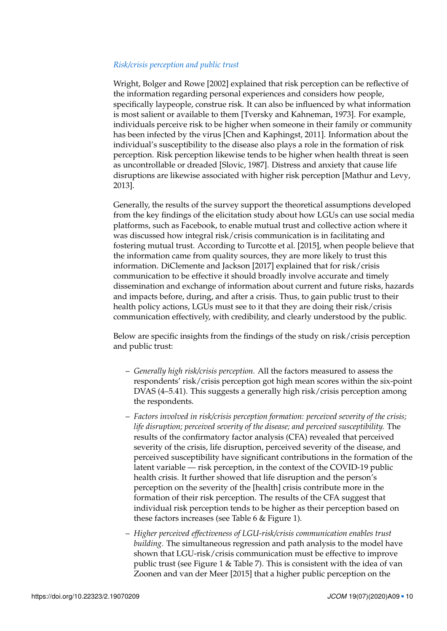### *Risk/crisis perception and public trust*

Wright, Bolger and Rowe [\[2002\]](#page-15-2) explained that risk perception can be reflective of the information regarding personal experiences and considers how people, specifically laypeople, construe risk. It can also be influenced by what information is most salient or available to them [Tversky and Kahneman, [1973\]](#page-14-8). For example, individuals perceive risk to be higher when someone in their family or community has been infected by the virus [Chen and Kaphingst, [2011\]](#page-13-5). Information about the individual's susceptibility to the disease also plays a role in the formation of risk perception. Risk perception likewise tends to be higher when health threat is seen as uncontrollable or dreaded [Slovic, [1987\]](#page-14-9). Distress and anxiety that cause life disruptions are likewise associated with higher risk perception [Mathur and Levy, [2013\]](#page-14-10).

Generally, the results of the survey support the theoretical assumptions developed from the key findings of the elicitation study about how LGUs can use social media platforms, such as Facebook, to enable mutual trust and collective action where it was discussed how integral risk/crisis communication is in facilitating and fostering mutual trust. According to Turcotte et al. [\[2015\]](#page-14-11), when people believe that the information came from quality sources, they are more likely to trust this information. DiClemente and Jackson [\[2017\]](#page-13-3) explained that for risk/crisis communication to be effective it should broadly involve accurate and timely dissemination and exchange of information about current and future risks, hazards and impacts before, during, and after a crisis. Thus, to gain public trust to their health policy actions, LGUs must see to it that they are doing their risk/crisis communication effectively, with credibility, and clearly understood by the public.

Below are specific insights from the findings of the study on risk/crisis perception and public trust:

- *Generally high risk/crisis perception.* All the factors measured to assess the respondents' risk/crisis perception got high mean scores within the six-point DVAS (4–5.41). This suggests a generally high risk/crisis perception among the respondents.
- *Factors involved in risk/crisis perception formation: perceived severity of the crisis; life disruption; perceived severity of the disease; and perceived susceptibility.* The results of the confirmatory factor analysis (CFA) revealed that perceived severity of the crisis, life disruption, perceived severity of the disease, and perceived susceptibility have significant contributions in the formation of the latent variable — risk perception, in the context of the COVID-19 public health crisis. It further showed that life disruption and the person's perception on the severity of the [health] crisis contribute more in the formation of their risk perception. The results of the CFA suggest that individual risk perception tends to be higher as their perception based on these factors increases (see Table [6](#page-10-1) & Figure [1\)](#page-3-0).
- *Higher perceived effectiveness of LGU-risk/crisis communication enables trust building.* The simultaneous regression and path analysis to the model have shown that LGU-risk/crisis communication must be effective to improve public trust (see Figure [1](#page-3-0) & Table [7\)](#page-10-0). This is consistent with the idea of van Zoonen and van der Meer [\[2015\]](#page-14-12) that a higher public perception on the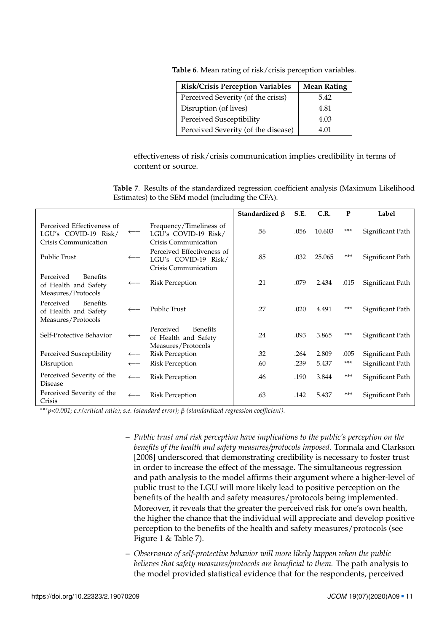| <b>Risk/Crisis Perception Variables</b> | <b>Mean Rating</b> |
|-----------------------------------------|--------------------|
| Perceived Severity (of the crisis)      | 5.42               |
| Disruption (of lives)                   | 4.81               |
| Perceived Susceptibility                | 4.03               |
| Perceived Severity (of the disease)     | 4.01               |

<span id="page-10-1"></span>**Table 6**. Mean rating of risk/crisis perception variables.

effectiveness of risk/crisis communication implies credibility in terms of content or source.

<span id="page-10-0"></span>**Table 7**. Results of the standardized regression coefficient analysis (Maximum Likelihood Estimates) to the SEM model (including the CFA).

|                                                                            |                  |                                                                            | Standardized $\beta$ | S.E. | C.R.   | P     | Label            |
|----------------------------------------------------------------------------|------------------|----------------------------------------------------------------------------|----------------------|------|--------|-------|------------------|
| Perceived Effectiveness of<br>LGU's COVID-19 Risk/<br>Crisis Communication | $\longleftarrow$ | Frequency/Timeliness of<br>LGU's COVID-19 Risk/<br>Crisis Communication    | .56                  | .056 | 10.603 | $***$ | Significant Path |
| Public Trust                                                               |                  | Perceived Effectiveness of<br>LGU's COVID-19 Risk/<br>Crisis Communication | .85                  | .032 | 25.065 | ***   | Significant Path |
| Perceived<br><b>Benefits</b><br>of Health and Safety<br>Measures/Protocols |                  | <b>Risk Perception</b>                                                     | .21                  | .079 | 2.434  | .015  | Significant Path |
| Perceived<br><b>Benefits</b><br>of Health and Safety<br>Measures/Protocols |                  | <b>Public Trust</b>                                                        | .27                  | .020 | 4.491  | ***   | Significant Path |
| Self-Protective Behavior                                                   |                  | Perceived<br>Benefits<br>of Health and Safety<br>Measures/Protocols        | .24                  | .093 | 3.865  | ***   | Significant Path |
| Perceived Susceptibility                                                   | $\leftarrow$     | <b>Risk Perception</b>                                                     | .32                  | .264 | 2.809  | .005  | Significant Path |
| Disruption                                                                 | $\leftarrow$     | <b>Risk Perception</b>                                                     | .60                  | .239 | 5.437  | $***$ | Significant Path |
| Perceived Severity of the<br><b>Disease</b>                                |                  | <b>Risk Perception</b>                                                     | .46                  | .190 | 3.844  | ***   | Significant Path |
| Perceived Severity of the<br>Crisis                                        |                  | <b>Risk Perception</b>                                                     | .63                  | .142 | 5.437  | ***   | Significant Path |

*\*\*\*p<0.001; c.r.(critical ratio); s.e. (standard error); β (standardized regression coefficient).*

- *Public trust and risk perception have implications to the public's perception on the benefits of the health and safety measures/protocols imposed.* Tormala and Clarkson [\[2008\]](#page-14-7) underscored that demonstrating credibility is necessary to foster trust in order to increase the effect of the message. The simultaneous regression and path analysis to the model affirms their argument where a higher-level of public trust to the LGU will more likely lead to positive perception on the benefits of the health and safety measures/protocols being implemented. Moreover, it reveals that the greater the perceived risk for one's own health, the higher the chance that the individual will appreciate and develop positive perception to the benefits of the health and safety measures/protocols (see Figure [1](#page-3-0) & Table [7\)](#page-10-0).
- *Observance of self-protective behavior will more likely happen when the public believes that safety measures/protocols are beneficial to them.* The path analysis to the model provided statistical evidence that for the respondents, perceived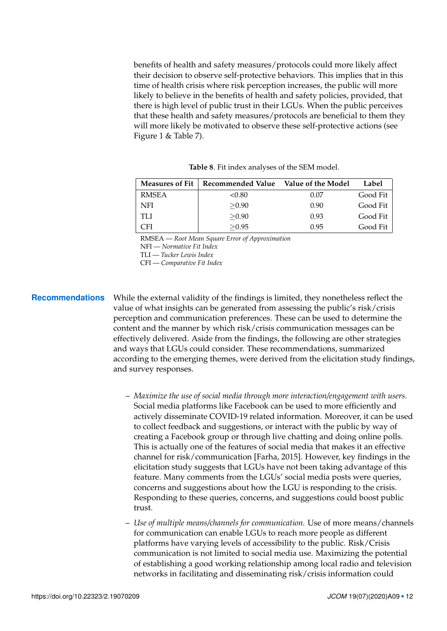benefits of health and safety measures/protocols could more likely affect their decision to observe self-protective behaviors. This implies that in this time of health crisis where risk perception increases, the public will more likely to believe in the benefits of health and safety policies, provided, that there is high level of public trust in their LGUs. When the public perceives that these health and safety measures/protocols are beneficial to them they will more likely be motivated to observe these self-protective actions (see Figure [1](#page-3-0) & Table [7\)](#page-10-0).

| <b>Measures of Fit</b> | Recommended Value | Value of the Model | Label    |
|------------------------|-------------------|--------------------|----------|
|                        |                   |                    |          |
| <b>RMSEA</b>           | < 0.80            | 0.07               | Good Fit |
| NFI                    | > 0.90            | 0.90               | Good Fit |
| TI J                   | > 0.90            | 0.93               | Good Fit |
| CFI                    | > 0.95            | 0.95               | Good Fit |

<span id="page-11-0"></span>**Table 8**. Fit index analyses of the SEM model.

RMSEA — *Root Mean Square Error of Approximation*

NFI — *Normative Fit Index*

TLI — *Tucker Lewis Index*

CFI — *Comparative Fit Index*

**Recommendations** While the external validity of the findings is limited, they nonetheless reflect the value of what insights can be generated from assessing the public's risk/crisis perception and communication preferences. These can be used to determine the content and the manner by which risk/crisis communication messages can be effectively delivered. Aside from the findings, the following are other strategies and ways that LGUs could consider. These recommendations, summarized according to the emerging themes, were derived from the elicitation study findings, and survey responses.

- *Maximize the use of social media through more interaction/engagement with users.* Social media platforms like Facebook can be used to more efficiently and actively disseminate COVID-19 related information. Moreover, it can be used to collect feedback and suggestions, or interact with the public by way of creating a Facebook group or through live chatting and doing online polls. This is actually one of the features of social media that makes it an effective channel for risk/communication [Farha, [2015\]](#page-13-6). However, key findings in the elicitation study suggests that LGUs have not been taking advantage of this feature. Many comments from the LGUs' social media posts were queries, concerns and suggestions about how the LGU is responding to the crisis. Responding to these queries, concerns, and suggestions could boost public trust.
- *Use of multiple means/channels for communication.* Use of more means/channels for communication can enable LGUs to reach more people as different platforms have varying levels of accessibility to the public. Risk/Crisis communication is not limited to social media use. Maximizing the potential of establishing a good working relationship among local radio and television networks in facilitating and disseminating risk/crisis information could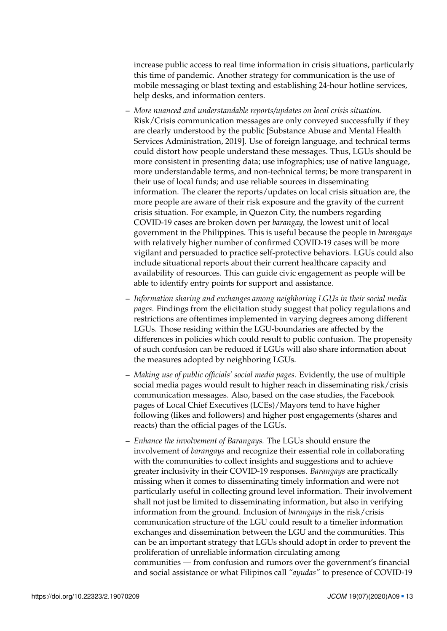increase public access to real time information in crisis situations, particularly this time of pandemic. Another strategy for communication is the use of mobile messaging or blast texting and establishing 24-hour hotline services, help desks, and information centers.

- *More nuanced and understandable reports/updates on local crisis situation.* Risk/Crisis communication messages are only conveyed successfully if they are clearly understood by the public [Substance Abuse and Mental Health Services Administration, [2019\]](#page-14-5). Use of foreign language, and technical terms could distort how people understand these messages. Thus, LGUs should be more consistent in presenting data; use infographics; use of native language, more understandable terms, and non-technical terms; be more transparent in their use of local funds; and use reliable sources in disseminating information. The clearer the reports/updates on local crisis situation are, the more people are aware of their risk exposure and the gravity of the current crisis situation. For example, in Quezon City, the numbers regarding COVID-19 cases are broken down per *barangay,* the lowest unit of local government in the Philippines. This is useful because the people in *barangays* with relatively higher number of confirmed COVID-19 cases will be more vigilant and persuaded to practice self-protective behaviors. LGUs could also include situational reports about their current healthcare capacity and availability of resources. This can guide civic engagement as people will be able to identify entry points for support and assistance.
- *Information sharing and exchanges among neighboring LGUs in their social media pages.* Findings from the elicitation study suggest that policy regulations and restrictions are oftentimes implemented in varying degrees among different LGUs. Those residing within the LGU-boundaries are affected by the differences in policies which could result to public confusion. The propensity of such confusion can be reduced if LGUs will also share information about the measures adopted by neighboring LGUs.
- *Making use of public officials' social media pages.* Evidently, the use of multiple social media pages would result to higher reach in disseminating risk/crisis communication messages. Also, based on the case studies, the Facebook pages of Local Chief Executives (LCEs)/Mayors tend to have higher following (likes and followers) and higher post engagements (shares and reacts) than the official pages of the LGUs.
- *Enhance the involvement of Barangays.* The LGUs should ensure the involvement of *barangays* and recognize their essential role in collaborating with the communities to collect insights and suggestions and to achieve greater inclusivity in their COVID-19 responses. *Barangays* are practically missing when it comes to disseminating timely information and were not particularly useful in collecting ground level information. Their involvement shall not just be limited to disseminating information, but also in verifying information from the ground. Inclusion of *barangays* in the risk/crisis communication structure of the LGU could result to a timelier information exchanges and dissemination between the LGU and the communities. This can be an important strategy that LGUs should adopt in order to prevent the proliferation of unreliable information circulating among communities — from confusion and rumors over the government's financial and social assistance or what Filipinos call *"ayudas"* to presence of COVID-19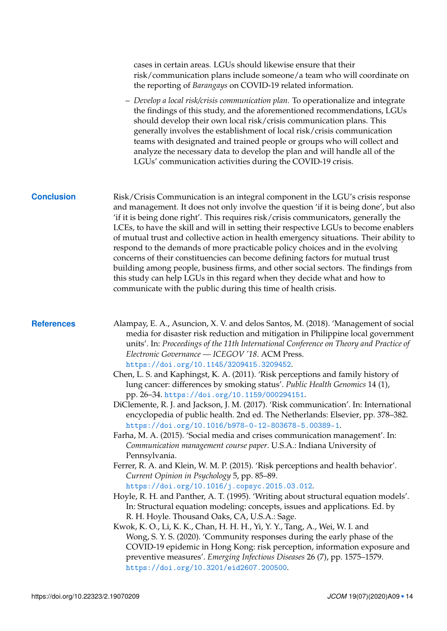<span id="page-13-6"></span><span id="page-13-5"></span><span id="page-13-4"></span><span id="page-13-3"></span><span id="page-13-2"></span><span id="page-13-1"></span><span id="page-13-0"></span>

|                   | cases in certain areas. LGUs should likewise ensure that their<br>risk/communication plans include someone/a team who will coordinate on<br>the reporting of Barangays on COVID-19 related information.                                                                                                                                                                                                                                                                                                                                                                                                                                                                                                                                                                                                                                                                                                                                                                                                                                                                                                                                                                                                                                                                                                                                                                                                                                                                                                                                                                                                                                                                                                                                                                  |
|-------------------|--------------------------------------------------------------------------------------------------------------------------------------------------------------------------------------------------------------------------------------------------------------------------------------------------------------------------------------------------------------------------------------------------------------------------------------------------------------------------------------------------------------------------------------------------------------------------------------------------------------------------------------------------------------------------------------------------------------------------------------------------------------------------------------------------------------------------------------------------------------------------------------------------------------------------------------------------------------------------------------------------------------------------------------------------------------------------------------------------------------------------------------------------------------------------------------------------------------------------------------------------------------------------------------------------------------------------------------------------------------------------------------------------------------------------------------------------------------------------------------------------------------------------------------------------------------------------------------------------------------------------------------------------------------------------------------------------------------------------------------------------------------------------|
|                   | - Develop a local risk/crisis communication plan. To operationalize and integrate<br>the findings of this study, and the aforementioned recommendations, LGUs<br>should develop their own local risk/crisis communication plans. This<br>generally involves the establishment of local risk/crisis communication<br>teams with designated and trained people or groups who will collect and<br>analyze the necessary data to develop the plan and will handle all of the<br>LGUs' communication activities during the COVID-19 crisis.                                                                                                                                                                                                                                                                                                                                                                                                                                                                                                                                                                                                                                                                                                                                                                                                                                                                                                                                                                                                                                                                                                                                                                                                                                   |
| <b>Conclusion</b> | Risk/Crisis Communication is an integral component in the LGU's crisis response<br>and management. It does not only involve the question 'if it is being done', but also<br>'if it is being done right'. This requires risk/crisis communicators, generally the<br>LCEs, to have the skill and will in setting their respective LGUs to become enablers<br>of mutual trust and collective action in health emergency situations. Their ability to<br>respond to the demands of more practicable policy choices and in the evolving<br>concerns of their constituencies can become defining factors for mutual trust<br>building among people, business firms, and other social sectors. The findings from<br>this study can help LGUs in this regard when they decide what and how to<br>communicate with the public during this time of health crisis.                                                                                                                                                                                                                                                                                                                                                                                                                                                                                                                                                                                                                                                                                                                                                                                                                                                                                                                  |
| <b>References</b> | Alampay, E. A., Asuncion, X. V. and delos Santos, M. (2018). 'Management of social<br>media for disaster risk reduction and mitigation in Philippine local government<br>units'. In: Proceedings of the 11th International Conference on Theory and Practice of<br>Electronic Governance - ICEGOV '18. ACM Press.<br>https://doi.org/10.1145/3209415.3209452.<br>Chen, L. S. and Kaphingst, K. A. (2011). 'Risk perceptions and family history of<br>lung cancer: differences by smoking status'. Public Health Genomics 14 (1),<br>pp. 26-34. https://doi.org/10.1159/000294151.<br>DiClemente, R. J. and Jackson, J. M. (2017). 'Risk communication'. In: International<br>encyclopedia of public health. 2nd ed. The Netherlands: Elsevier, pp. 378-382.<br>https://doi.org/10.1016/b978-0-12-803678-5.00389-1.<br>Farha, M. A. (2015). 'Social media and crises communication management'. In:<br>Communication management course paper. U.S.A.: Indiana University of<br>Pennsylvania.<br>Ferrer, R. A. and Klein, W. M. P. (2015). 'Risk perceptions and health behavior'.<br>Current Opinion in Psychology 5, pp. 85-89.<br>https://doi.org/10.1016/j.copsyc.2015.03.012.<br>Hoyle, R. H. and Panther, A. T. (1995). 'Writing about structural equation models'.<br>In: Structural equation modeling: concepts, issues and applications. Ed. by<br>R. H. Hoyle. Thousand Oaks, CA, U.S.A.: Sage.<br>Kwok, K. O., Li, K. K., Chan, H. H. H., Yi, Y. Y., Tang, A., Wei, W. I. and<br>Wong, S. Y. S. (2020). 'Community responses during the early phase of the<br>COVID-19 epidemic in Hong Kong: risk perception, information exposure and<br>preventive measures'. Emerging Infectious Diseases 26 (7), pp. 1575-1579.<br>https://doi.org/10.3201/eid2607.200500. |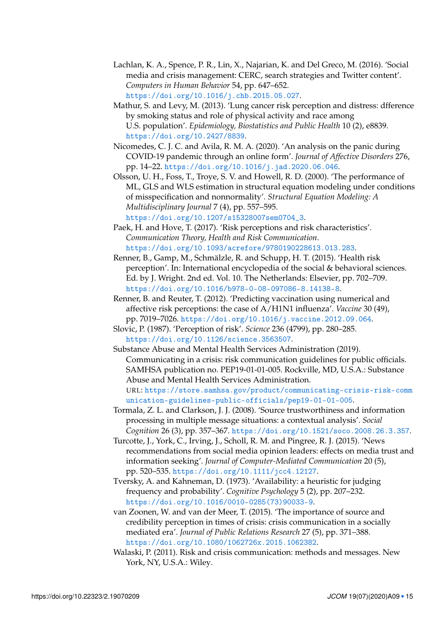- <span id="page-14-0"></span>Lachlan, K. A., Spence, P. R., Lin, X., Najarian, K. and Del Greco, M. (2016). 'Social media and crisis management: CERC, search strategies and Twitter content'. *Computers in Human Behavior* 54, pp. 647–652. <https://doi.org/10.1016/j.chb.2015.05.027>.
- <span id="page-14-10"></span>Mathur, S. and Levy, M. (2013). 'Lung cancer risk perception and distress: dfference by smoking status and role of physical activity and race among U.S. population'. *Epidemiology, Biostatistics and Public Health* 10 (2), e8839. <https://doi.org/10.2427/8839>.
- <span id="page-14-3"></span>Nicomedes, C. J. C. and Avila, R. M. A. (2020). 'An analysis on the panic during COVID-19 pandemic through an online form'. *Journal of Affective Disorders* 276, pp. 14–22. <https://doi.org/10.1016/j.jad.2020.06.046>.
- <span id="page-14-4"></span>Olsson, U. H., Foss, T., Troye, S. V. and Howell, R. D. (2000). 'The performance of ML, GLS and WLS estimation in structural equation modeling under conditions of misspecification and nonnormality'. *Structural Equation Modeling: A Multidisciplinary Journal* 7 (4), pp. 557–595. [https://doi.org/10.1207/s15328007sem0704\\_3](https://doi.org/10.1207/s15328007sem0704_3).

<span id="page-14-6"></span>Paek, H. and Hove, T. (2017). 'Risk perceptions and risk characteristics'. *Communication Theory, Health and Risk Communication*. <https://doi.org/10.1093/acrefore/9780190228613.013.283>.

- <span id="page-14-1"></span>Renner, B., Gamp, M., Schmälzle, R. and Schupp, H. T. (2015). 'Health risk perception'. In: International encyclopedia of the social & behavioral sciences. Ed. by J. Wright. 2nd ed. Vol. 10. The Netherlands: Elsevier, pp. 702–709. <https://doi.org/10.1016/b978-0-08-097086-8.14138-8>.
- <span id="page-14-2"></span>Renner, B. and Reuter, T. (2012). 'Predicting vaccination using numerical and affective risk perceptions: the case of A/H1N1 influenza'. *Vaccine* 30 (49), pp. 7019–7026. <https://doi.org/10.1016/j.vaccine.2012.09.064>.
- <span id="page-14-9"></span>Slovic, P. (1987). 'Perception of risk'. *Science* 236 (4799), pp. 280–285. <https://doi.org/10.1126/science.3563507>.
- <span id="page-14-5"></span>Substance Abuse and Mental Health Services Administration (2019). Communicating in a crisis: risk communication guidelines for public officials. SAMHSA publication no. PEP19-01-01-005. Rockville, MD, U.S.A.: Substance Abuse and Mental Health Services Administration. URL: [https://store.samhsa.gov/product/communicating-crisis-risk-comm](https://store.samhsa.gov/product/communicating-crisis-risk-communication-guidelines-public-officials/pep19-01-01-005) [unication-guidelines-public-officials/pep19-01-01-005](https://store.samhsa.gov/product/communicating-crisis-risk-communication-guidelines-public-officials/pep19-01-01-005).
- <span id="page-14-7"></span>Tormala, Z. L. and Clarkson, J. J. (2008). 'Source trustworthiness and information processing in multiple message situations: a contextual analysis'. *Social Cognition* 26 (3), pp. 357–367. <https://doi.org/10.1521/soco.2008.26.3.357>.
- <span id="page-14-11"></span>Turcotte, J., York, C., Irving, J., Scholl, R. M. and Pingree, R. J. (2015). 'News recommendations from social media opinion leaders: effects on media trust and information seeking'. *Journal of Computer-Mediated Communication* 20 (5), pp. 520–535. <https://doi.org/10.1111/jcc4.12127>.
- <span id="page-14-8"></span>Tversky, A. and Kahneman, D. (1973). 'Availability: a heuristic for judging frequency and probability'. *Cognitive Psychology* 5 (2), pp. 207–232. [https://doi.org/10.1016/0010-0285\(73\)90033-9](https://doi.org/10.1016/0010-0285(73)90033-9).
- <span id="page-14-12"></span>van Zoonen, W. and van der Meer, T. (2015). 'The importance of source and credibility perception in times of crisis: crisis communication in a socially mediated era'. *Journal of Public Relations Research* 27 (5), pp. 371–388. <https://doi.org/10.1080/1062726x.2015.1062382>.
- Walaski, P. (2011). Risk and crisis communication: methods and messages. New York, NY, U.S.A.: Wiley.